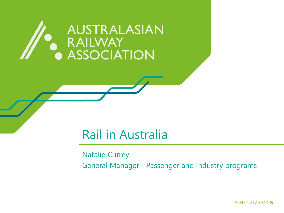# AUSTRALASIAN RAILWAY<br>ASSOCIATION

#### Rail in Australia

Natalie Currey General Manager - Passenger and Industry programs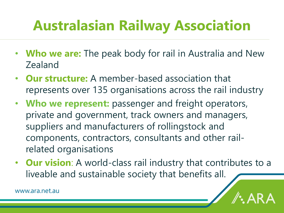### **Australasian Railway Association**

- **Who we are:** The peak body for rail in Australia and New Zealand
- **Our structure:** A member-based association that represents over 135 organisations across the rail industry
- **Who we represent:** passenger and freight operators, private and government, track owners and managers, suppliers and manufacturers of rollingstock and components, contractors, consultants and other railrelated organisations
- **Our vision**: A world-class rail industry that contributes to a liveable and sustainable society that benefits all.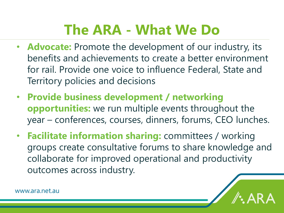### **The ARA - What We Do**

- **Advocate:** Promote the development of our industry, its benefits and achievements to create a better environment for rail. Provide one voice to influence Federal, State and Territory policies and decisions
- **Provide business development / networking opportunities:** we run multiple events throughout the year – conferences, courses, dinners, forums, CEO lunches.
- **Facilitate information sharing:** committees / working groups create consultative forums to share knowledge and collaborate for improved operational and productivity outcomes across industry.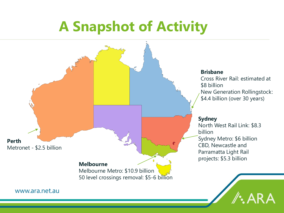### **A Snapshot of Activity**

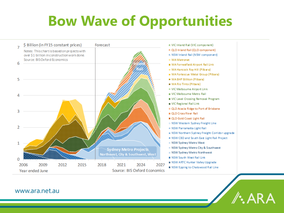## **Bow Wave of Opportunities**

/: ARA

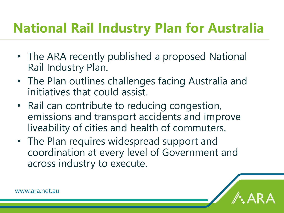#### **National Rail Industry Plan for Australia**

- The ARA recently published a proposed National Rail Industry Plan.
- The Plan outlines challenges facing Australia and initiatives that could assist.
- Rail can contribute to reducing congestion, emissions and transport accidents and improve liveability of cities and health of commuters.
- The Plan requires widespread support and coordination at every level of Government and across industry to execute.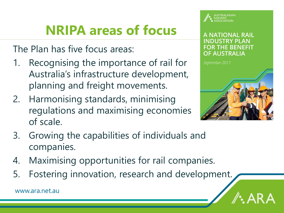#### **NRIPA areas of focus**

The Plan has five focus areas:

- 1. Recognising the importance of rail for Australia's infrastructure development, planning and freight movements.
- 2. Harmonising standards, minimising regulations and maximising economies of scale.



#### A NATIONAL RAIL **FOR THE BENEFIT OF AUSTRALIA**



- 3. Growing the capabilities of individuals and companies.
- 4. Maximising opportunities for rail companies.
- 5. Fostering innovation, research and development.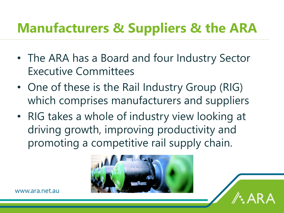#### **Manufacturers & Suppliers & the ARA**

- The ARA has a Board and four Industry Sector Executive Committees
- One of these is the Rail Industry Group (RIG) which comprises manufacturers and suppliers
- RIG takes a whole of industry view looking at driving growth, improving productivity and promoting a competitive rail supply chain.

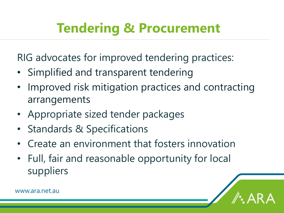#### **Tendering & Procurement**

RIG advocates for improved tendering practices:

- Simplified and transparent tendering
- Improved risk mitigation practices and contracting arrangements
- Appropriate sized tender packages
- Standards & Specifications
- Create an environment that fosters innovation
- Full, fair and reasonable opportunity for local suppliers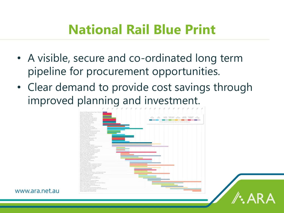#### **National Rail Blue Print**

- A visible, secure and co-ordinated long term pipeline for procurement opportunities.
- Clear demand to provide cost savings through improved planning and investment.



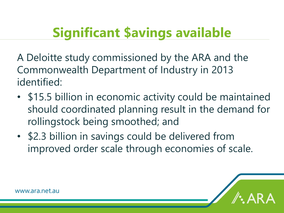#### **Significant \$avings available**

A Deloitte study commissioned by the ARA and the Commonwealth Department of Industry in 2013 identified:

- \$15.5 billion in economic activity could be maintained should coordinated planning result in the demand for rollingstock being smoothed; and
- \$2.3 billion in savings could be delivered from improved order scale through economies of scale.

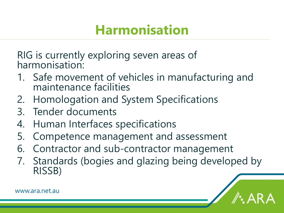#### **Harmonisation**

RIG is currently exploring seven areas of harmonisation:

- 1. Safe movement of vehicles in manufacturing and maintenance facilities
- 2. Homologation and System Specifications
- 3. Tender documents
- 4. Human Interfaces specifications
- 5. Competence management and assessment
- 6. Contractor and sub-contractor management
- 7. Standards (bogies and glazing being developed by RISSB)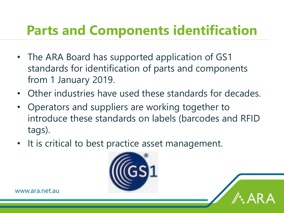#### **Parts and Components identification**

- The ARA Board has supported application of GS1 standards for identification of parts and components from 1 January 2019.
- Other industries have used these standards for decades.
- Operators and suppliers are working together to introduce these standards on labels (barcodes and RFID tags).
- It is critical to best practice asset management.

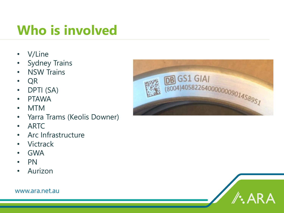#### **Who is involved**

- V/Line
- Sydney Trains
- NSW Trains
- QR
- DPTI (SA)
- PTAWA
- MTM
- Yarra Trams (Keolis Downer)
- ARTC
- Arc Infrastructure
- Victrack
- GWA
- PN
- Aurizon





![](_page_13_Picture_17.jpeg)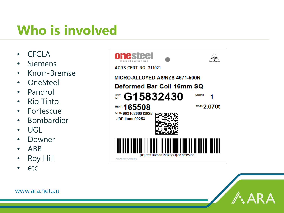#### **Who is involved**

- CFCLA
- Siemens
- Knorr-Bremse
- OneSteel
- Pandrol
- Rio Tinto
- Fortescue
- Bombardier
- UGL
- Downer
- ABB
- **Roy Hill**
- etc

![](_page_14_Picture_14.jpeg)

![](_page_14_Picture_15.jpeg)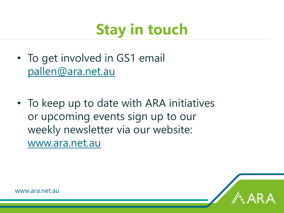# **Stay in touch**

- To get involved in GS1 email [pallen@ara.net.au](mailto:pallen@ara.net.au)
- To keep up to date with ARA initiatives or upcoming events sign up to our weekly newsletter via our website: [www.ara.net.au](http://www.ara.net.au/)

![](_page_15_Picture_3.jpeg)